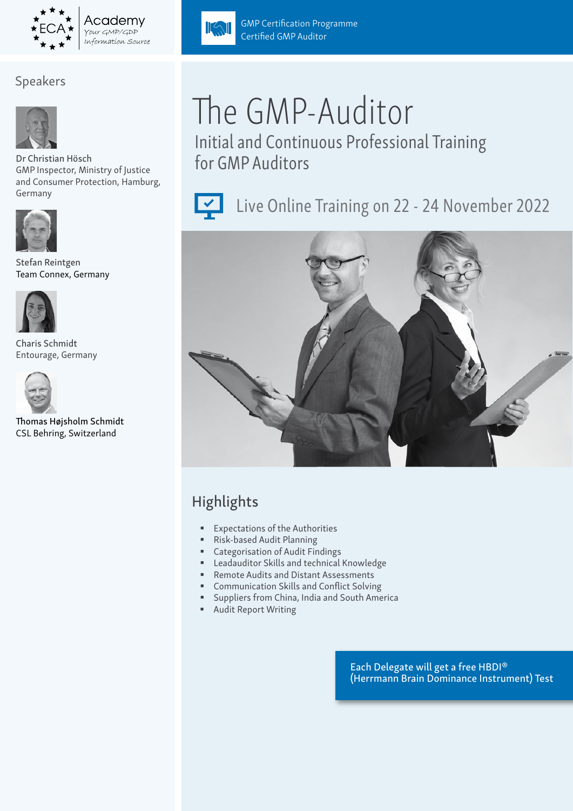

# Speakers



Dr Christian Hösch GMP Inspector, Ministry of Justice and Consumer Protection, Hamburg, Germany



Stefan Reintgen Team Connex, Germany



Charis Schmidt Entourage, Germany



Thomas Højsholm Schmidt CSL Behring, Switzerland



GMP Certification Programme

Certified GMP Auditor

Initial and Continuous Professional Training for GMP Auditors



 $\Vert \langle \cdot \rangle \Vert$ 

Live Online Training on 22 - 24 November 2022



# Highlights

- Expectations of the Authorities
- Risk-based Audit Planning
- Categorisation of Audit Findings
- Leadauditor Skills and technical Knowledge
- Remote Audits and Distant Assessments
- Communication Skills and Conflict Solving
- Suppliers from China, India and South America
- Audit Report Writing

Each Delegate will get a free HBDI® (Herrmann Brain Dominance Instrument) Test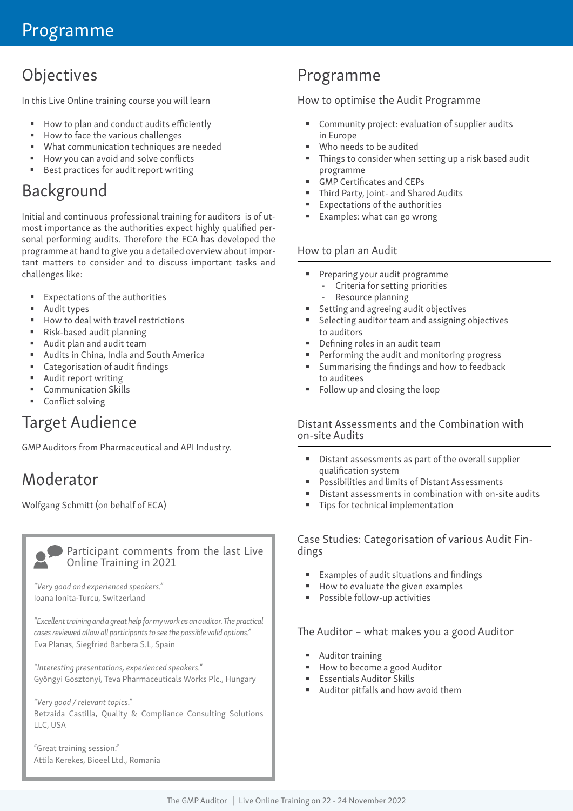# **Objectives**

In this Live Online training course you will learn

- How to plan and conduct audits efficiently
- How to face the various challenges
- What communication techniques are needed
- How you can avoid and solve conflicts
- Best practices for audit report writing

# Background

Initial and continuous professional training for auditors is of utmost importance as the authorities expect highly qualified personal performing audits. Therefore the ECA has developed the programme at hand to give you a detailed overview about important matters to consider and to discuss important tasks and challenges like:

- Expectations of the authorities
- Audit types
- How to deal with travel restrictions
- Risk-based audit planning
- Audit plan and audit team
- Audits in China, India and South America
- Categorisation of audit findings
- Audit report writing
- Communication Skills
- Conflict solving

# Target Audience

GMP Auditors from Pharmaceutical and API Industry.

# Moderator

Wolfgang Schmitt (on behalf of ECA)



#### Participant comments from the last Live Online Training in 2021

*"Very good and experienced speakers."*  Ioana Ionita-Turcu, Switzerland

*"Excellent training and a great help for my work as an auditor. The practical cases reviewed allow all participants to see the possible valid options."* Eva Planas, Siegfried Barbera S.L, Spain

*"Interesting presentations, experienced speakers."* Gyöngyi Gosztonyi, Teva Pharmaceuticals Works Plc., Hungary

*"Very good / relevant topics."* Betzaida Castilla, Quality & Compliance Consulting Solutions LLC, USA

"Great training session." Attila Kerekes, Bioeel Ltd., Romania

# Programme

### How to optimise the Audit Programme

- Community project: evaluation of supplier audits in Europe
- Who needs to be audited
- Things to consider when setting up a risk based audit programme
- GMP Certificates and CEPs
- Third Party, Joint- and Shared Audits
- Expectations of the authorities
- Examples: what can go wrong

### How to plan an Audit

- **Preparing your audit programme** 
	- Criteria for setting priorities
	- Resource planning
- Setting and agreeing audit objectives
- Selecting auditor team and assigning objectives to auditors
- Defining roles in an audit team
- Performing the audit and monitoring progress
- Summarising the findings and how to feedback to auditees
- Follow up and closing the loop

#### Distant Assessments and the Combination with on-site Audits

- Distant assessments as part of the overall supplier qualification system
- Possibilities and limits of Distant Assessments
- Distant assessments in combination with on-site audits
- Tips for technical implementation

# Case Studies: Categorisation of various Audit Fin- dings

- Examples of audit situations and findings
- $\blacksquare$  How to evaluate the given examples
- Possible follow-up activities

### The Auditor – what makes you a good Auditor

- **Auditor training**
- How to become a good Auditor
- **Essentials Auditor Skills**
- Auditor pitfalls and how avoid them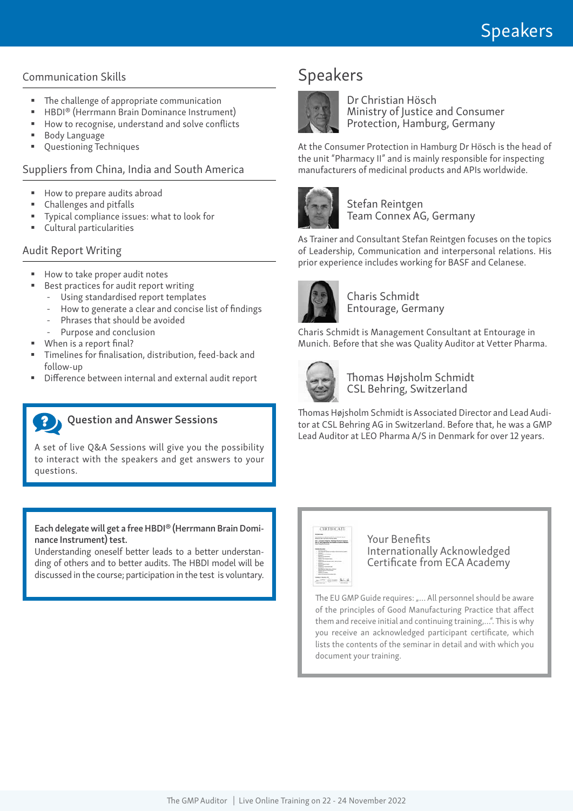### Communication Skills

- The challenge of appropriate communication
- HBDI® (Herrmann Brain Dominance Instrument)
- How to recognise, understand and solve conflicts
- Body Language
- Questioning Techniques

# Suppliers from China, India and South America

- How to prepare audits abroad
- Challenges and pitfalls
- Typical compliance issues: what to look for
- Cultural particularities

# Audit Report Writing

- How to take proper audit notes
	- Best practices for audit report writing
	- Using standardised report templates
		- How to generate a clear and concise list of findings
	- Phrases that should be avoided
	- Purpose and conclusion
- When is a report final?
- Timelines for finalisation, distribution, feed-back and follow-up
- Difference between internal and external audit report

# Question and Answer Sessions

A set of live Q&A Sessions will give you the possibility to interact with the speakers and get answers to your questions.

Each delegate will get a free HBDI® (Herrmann Brain Dominance Instrument) test.

Understanding oneself better leads to a better understanding of others and to better audits. The HBDI model will be discussed in the course; participation in the test is voluntary.

# Speakers



Dr Christian Hösch Ministry of Justice and Consumer Protection, Hamburg, Germany

At the Consumer Protection in Hamburg Dr Hösch is the head of the unit "Pharmacy II" and is mainly responsible for inspecting manufacturers of medicinal products and APIs worldwide.



Stefan Reintgen Team Connex AG, Germany

As Trainer and Consultant Stefan Reintgen focuses on the topics of Leadership, Communication and interpersonal relations. His prior experience includes working for BASF and Celanese.



Charis Schmidt Entourage, Germany

Charis Schmidt is Management Consultant at Entourage in Munich. Before that she was Quality Auditor at Vetter Pharma.



Thomas Højsholm Schmidt CSL Behring, Switzerland

Thomas Højsholm Schmidt is Associated Director and Lead Auditor at CSL Behring AG in Switzerland. Before that, he was a GMP Lead Auditor at LEO Pharma A/S in Denmark for over 12 years.



### Your Benefits Internationally Acknowledged Certificate from ECA Academy

The EU GMP Guide requires: "... All personnel should be aware of the principles of Good Manufacturing Practice that affect them and receive initial and continuing training,…". This is why you receive an acknowledged participant certificate, which lists the contents of the seminar in detail and with which you document your training.